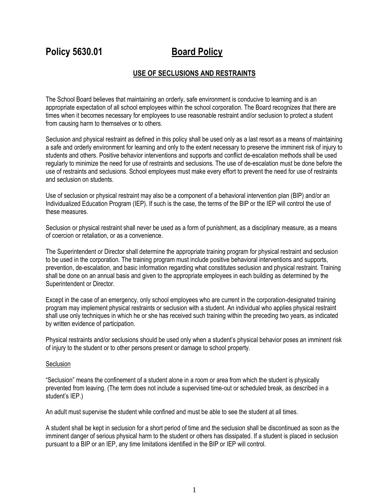# Policy 5630.01 **Board Policy**

## **USE OF SECLUSIONS AND RESTRAINTS**

The School Board believes that maintaining an orderly, safe environment is conducive to learning and is an appropriate expectation of all school employees within the school corporation. The Board recognizes that there are times when it becomes necessary for employees to use reasonable restraint and/or seclusion to protect a student from causing harm to themselves or to others.

Seclusion and physical restraint as defined in this policy shall be used only as a last resort as a means of maintaining a safe and orderly environment for learning and only to the extent necessary to preserve the imminent risk of injury to students and others. Positive behavior interventions and supports and conflict de-escalation methods shall be used regularly to minimize the need for use of restraints and seclusions. The use of de-escalation must be done before the use of restraints and seclusions. School employees must make every effort to prevent the need for use of restraints and seclusion on students.

Use of seclusion or physical restraint may also be a component of a behavioral intervention plan (BIP) and/or an Individualized Education Program (IEP). If such is the case, the terms of the BIP or the IEP will control the use of these measures.

Seclusion or physical restraint shall never be used as a form of punishment, as a disciplinary measure, as a means of coercion or retaliation, or as a convenience.

The Superintendent or Director shall determine the appropriate training program for physical restraint and seclusion to be used in the corporation. The training program must include positive behavioral interventions and supports, prevention, de-escalation, and basic information regarding what constitutes seclusion and physical restraint. Training shall be done on an annual basis and given to the appropriate employees in each building as determined by the Superintendent or Director.

Except in the case of an emergency, only school employees who are current in the corporation-designated training program may implement physical restraints or seclusion with a student. An individual who applies physical restraint shall use only techniques in which he or she has received such training within the preceding two years, as indicated by written evidence of participation.

Physical restraints and/or seclusions should be used only when a student's physical behavior poses an imminent risk of injury to the student or to other persons present or damage to school property.

### Seclusion

"Seclusion" means the confinement of a student alone in a room or area from which the student is physically prevented from leaving. (The term does not include a supervised time-out or scheduled break, as described in a student's IEP.)

An adult must supervise the student while confined and must be able to see the student at all times.

A student shall be kept in seclusion for a short period of time and the seclusion shall be discontinued as soon as the imminent danger of serious physical harm to the student or others has dissipated. If a student is placed in seclusion pursuant to a BIP or an IEP, any time limitations identified in the BIP or IEP will control.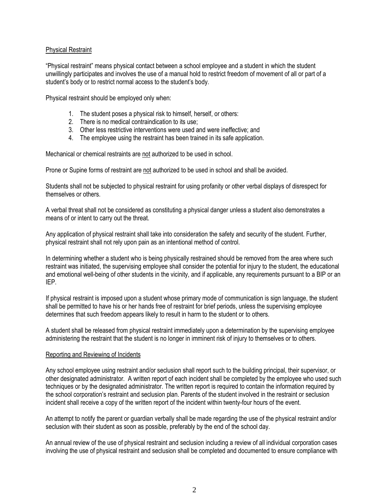#### Physical Restraint

"Physical restraint" means physical contact between a school employee and a student in which the student unwillingly participates and involves the use of a manual hold to restrict freedom of movement of all or part of a student's body or to restrict normal access to the student's body.

Physical restraint should be employed only when:

- 1. The student poses a physical risk to himself, herself, or others:
- 2. There is no medical contraindication to its use;
- 3. Other less restrictive interventions were used and were ineffective; and
- 4. The employee using the restraint has been trained in its safe application.

Mechanical or chemical restraints are not authorized to be used in school.

Prone or Supine forms of restraint are not authorized to be used in school and shall be avoided.

Students shall not be subjected to physical restraint for using profanity or other verbal displays of disrespect for themselves or others.

A verbal threat shall not be considered as constituting a physical danger unless a student also demonstrates a means of or intent to carry out the threat.

Any application of physical restraint shall take into consideration the safety and security of the student. Further, physical restraint shall not rely upon pain as an intentional method of control.

In determining whether a student who is being physically restrained should be removed from the area where such restraint was initiated, the supervising employee shall consider the potential for injury to the student, the educational and emotional well-being of other students in the vicinity, and if applicable, any requirements pursuant to a BIP or an IEP.

If physical restraint is imposed upon a student whose primary mode of communication is sign language, the student shall be permitted to have his or her hands free of restraint for brief periods, unless the supervising employee determines that such freedom appears likely to result in harm to the student or to others.

A student shall be released from physical restraint immediately upon a determination by the supervising employee administering the restraint that the student is no longer in imminent risk of injury to themselves or to others.

#### Reporting and Reviewing of Incidents

Any school employee using restraint and/or seclusion shall report such to the building principal, their supervisor, or other designated administrator. A written report of each incident shall be completed by the employee who used such techniques or by the designated administrator. The written report is required to contain the information required by the school corporation's restraint and seclusion plan. Parents of the student involved in the restraint or seclusion incident shall receive a copy of the written report of the incident within twenty-four hours of the event.

An attempt to notify the parent or guardian verbally shall be made regarding the use of the physical restraint and/or seclusion with their student as soon as possible, preferably by the end of the school day.

An annual review of the use of physical restraint and seclusion including a review of all individual corporation cases involving the use of physical restraint and seclusion shall be completed and documented to ensure compliance with